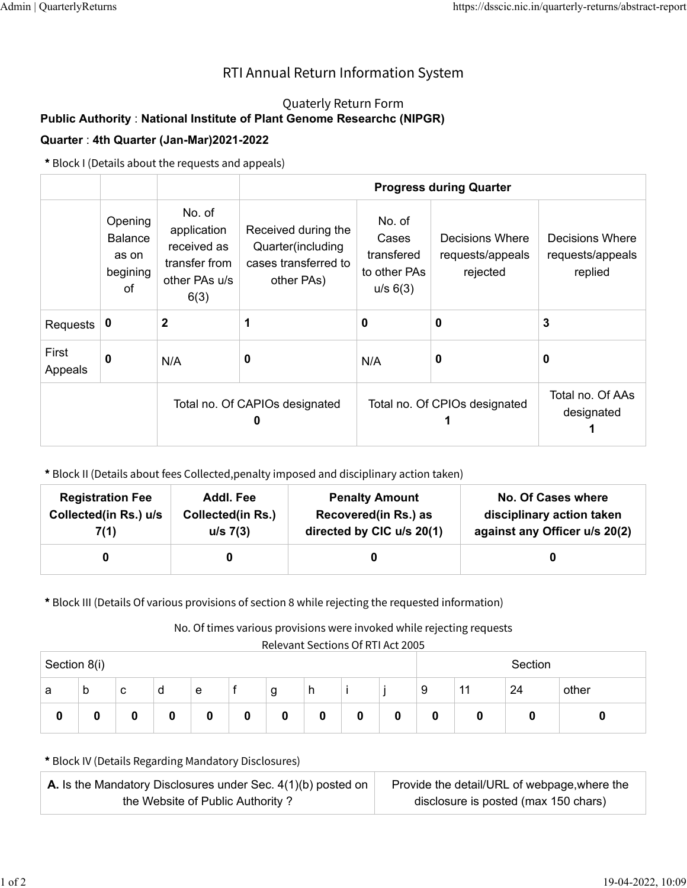## RTI Annual Return Information System

## Quaterly Return Form

## **Public Authority** : **National Institute of Plant Genome Researchc (NIPGR)**

## **Quarter** : **4th Quarter (Jan-Mar)2021-2022**

**\*** Block I (Details about the requests and appeals)

|                  |                                                      |                                                                                | <b>Progress during Quarter</b>                                                 |                                                           |                                                 |                                                |  |  |
|------------------|------------------------------------------------------|--------------------------------------------------------------------------------|--------------------------------------------------------------------------------|-----------------------------------------------------------|-------------------------------------------------|------------------------------------------------|--|--|
|                  | Opening<br><b>Balance</b><br>as on<br>begining<br>0f | No. of<br>application<br>received as<br>transfer from<br>other PAs u/s<br>6(3) | Received during the<br>Quarter(including<br>cases transferred to<br>other PAs) | No. of<br>Cases<br>transfered<br>to other PAs<br>u/s 6(3) | Decisions Where<br>requests/appeals<br>rejected | Decisions Where<br>requests/appeals<br>replied |  |  |
| Requests         | 0                                                    | $\mathbf 2$                                                                    |                                                                                | 0                                                         | 0                                               | 3                                              |  |  |
| First<br>Appeals | $\mathbf{0}$                                         | N/A                                                                            | 0                                                                              | N/A                                                       | 0                                               | 0                                              |  |  |
|                  |                                                      |                                                                                | Total no. Of CAPIOs designated                                                 |                                                           | Total no. Of CPIOs designated                   | Total no. Of AAs<br>designated                 |  |  |

**\*** Block II (Details about fees Collected,penalty imposed and disciplinary action taken)

| <b>Registration Fee</b> | Addl. Fee                | <b>Penalty Amount</b>     | <b>No. Of Cases where</b>     |
|-------------------------|--------------------------|---------------------------|-------------------------------|
| Collected(in Rs.) u/s   | <b>Collected(in Rs.)</b> | Recovered(in Rs.) as      | disciplinary action taken     |
| 7(1)                    | u/s 7(3)                 | directed by CIC u/s 20(1) | against any Officer u/s 20(2) |
|                         |                          |                           |                               |

**\*** Block III (Details Of various provisions of section 8 while rejecting the requested information)

No. Of times various provisions were invoked while rejecting requests

Relevant Sections Of RTI Act 2005

| Section 8(i) |   |   |   |   | Section |                  |   |   |   |   |       |    |       |
|--------------|---|---|---|---|---------|------------------|---|---|---|---|-------|----|-------|
| a            | b | с | d | е |         | g                | h |   |   | 9 | $-11$ | 24 | other |
| 0            | 0 | 0 |   | 0 | 0       | $\boldsymbol{0}$ | 0 | 0 | 0 | u | u     | u  |       |

**\*** Block IV (Details Regarding Mandatory Disclosures)

| <b>A.</b> Is the Mandatory Disclosures under Sec. $4(1)(b)$ posted on | Provide the detail/URL of webpage, where the |
|-----------------------------------------------------------------------|----------------------------------------------|
| the Website of Public Authority?                                      | disclosure is posted (max 150 chars)         |